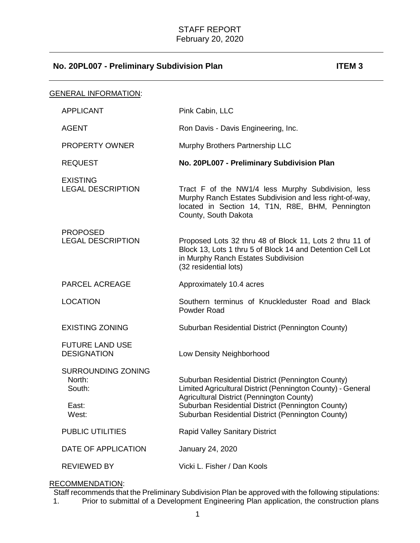| <b>GENERAL INFORMATION:</b>                                     |                                                                                                                                                                                                                                                                         |
|-----------------------------------------------------------------|-------------------------------------------------------------------------------------------------------------------------------------------------------------------------------------------------------------------------------------------------------------------------|
| <b>APPLICANT</b>                                                | Pink Cabin, LLC                                                                                                                                                                                                                                                         |
| <b>AGENT</b>                                                    | Ron Davis - Davis Engineering, Inc.                                                                                                                                                                                                                                     |
| <b>PROPERTY OWNER</b>                                           | Murphy Brothers Partnership LLC                                                                                                                                                                                                                                         |
| <b>REQUEST</b>                                                  | No. 20PL007 - Preliminary Subdivision Plan                                                                                                                                                                                                                              |
| <b>EXISTING</b><br><b>LEGAL DESCRIPTION</b>                     | Tract F of the NW1/4 less Murphy Subdivision, less<br>Murphy Ranch Estates Subdivision and less right-of-way,<br>located in Section 14, T1N, R8E, BHM, Pennington<br>County, South Dakota                                                                               |
| <b>PROPOSED</b><br><b>LEGAL DESCRIPTION</b>                     | Proposed Lots 32 thru 48 of Block 11, Lots 2 thru 11 of<br>Block 13, Lots 1 thru 5 of Block 14 and Detention Cell Lot<br>in Murphy Ranch Estates Subdivision<br>(32 residential lots)                                                                                   |
| <b>PARCEL ACREAGE</b>                                           | Approximately 10.4 acres                                                                                                                                                                                                                                                |
| <b>LOCATION</b>                                                 | Southern terminus of Knuckleduster Road and Black<br>Powder Road                                                                                                                                                                                                        |
| <b>EXISTING ZONING</b>                                          | Suburban Residential District (Pennington County)                                                                                                                                                                                                                       |
| <b>FUTURE LAND USE</b><br><b>DESIGNATION</b>                    | Low Density Neighborhood                                                                                                                                                                                                                                                |
| <b>SURROUNDING ZONING</b><br>North:<br>South:<br>East:<br>West: | Suburban Residential District (Pennington County)<br>Limited Agricultural District (Pennington County) - General<br>Agricultural District (Pennington County)<br>Suburban Residential District (Pennington County)<br>Suburban Residential District (Pennington County) |
| <b>PUBLIC UTILITIES</b>                                         | <b>Rapid Valley Sanitary District</b>                                                                                                                                                                                                                                   |
| DATE OF APPLICATION                                             | January 24, 2020                                                                                                                                                                                                                                                        |
| <b>REVIEWED BY</b>                                              | Vicki L. Fisher / Dan Kools                                                                                                                                                                                                                                             |

## RECOMMENDATION:

Staff recommends that the Preliminary Subdivision Plan be approved with the following stipulations:<br>1. Prior to submittal of a Development Engineering Plan application, the construction plans Prior to submittal of a Development Engineering Plan application, the construction plans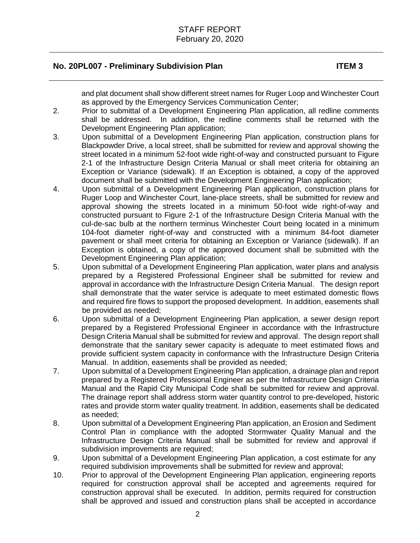and plat document shall show different street names for Ruger Loop and Winchester Court as approved by the Emergency Services Communication Center;

- 2. Prior to submittal of a Development Engineering Plan application, all redline comments shall be addressed. In addition, the redline comments shall be returned with the Development Engineering Plan application;
- 3. Upon submittal of a Development Engineering Plan application, construction plans for Blackpowder Drive, a local street, shall be submitted for review and approval showing the street located in a minimum 52-foot wide right-of-way and constructed pursuant to Figure 2-1 of the Infrastructure Design Criteria Manual or shall meet criteria for obtaining an Exception or Variance (sidewalk). If an Exception is obtained, a copy of the approved document shall be submitted with the Development Engineering Plan application;
- 4. Upon submittal of a Development Engineering Plan application, construction plans for Ruger Loop and Winchester Court, lane-place streets, shall be submitted for review and approval showing the streets located in a minimum 50-foot wide right-of-way and constructed pursuant to Figure 2-1 of the Infrastructure Design Criteria Manual with the cul-de-sac bulb at the northern terminus Winchester Court being located in a minimum 104-foot diameter right-of-way and constructed with a minimum 84-foot diameter pavement or shall meet criteria for obtaining an Exception or Variance (sidewalk). If an Exception is obtained, a copy of the approved document shall be submitted with the Development Engineering Plan application;
- 5. Upon submittal of a Development Engineering Plan application, water plans and analysis prepared by a Registered Professional Engineer shall be submitted for review and approval in accordance with the Infrastructure Design Criteria Manual. The design report shall demonstrate that the water service is adequate to meet estimated domestic flows and required fire flows to support the proposed development. In addition, easements shall be provided as needed;
- 6. Upon submittal of a Development Engineering Plan application, a sewer design report prepared by a Registered Professional Engineer in accordance with the Infrastructure Design Criteria Manual shall be submitted for review and approval. The design report shall demonstrate that the sanitary sewer capacity is adequate to meet estimated flows and provide sufficient system capacity in conformance with the Infrastructure Design Criteria Manual. In addition, easements shall be provided as needed;
- 7. Upon submittal of a Development Engineering Plan application, a drainage plan and report prepared by a Registered Professional Engineer as per the Infrastructure Design Criteria Manual and the Rapid City Municipal Code shall be submitted for review and approval. The drainage report shall address storm water quantity control to pre-developed, historic rates and provide storm water quality treatment. In addition, easements shall be dedicated as needed;
- 8. Upon submittal of a Development Engineering Plan application, an Erosion and Sediment Control Plan in compliance with the adopted Stormwater Quality Manual and the Infrastructure Design Criteria Manual shall be submitted for review and approval if subdivision improvements are required;
- 9. Upon submittal of a Development Engineering Plan application, a cost estimate for any required subdivision improvements shall be submitted for review and approval;
- 10. Prior to approval of the Development Engineering Plan application, engineering reports required for construction approval shall be accepted and agreements required for construction approval shall be executed. In addition, permits required for construction shall be approved and issued and construction plans shall be accepted in accordance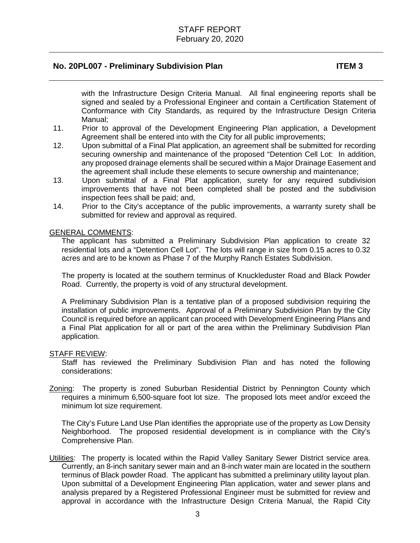with the Infrastructure Design Criteria Manual. All final engineering reports shall be signed and sealed by a Professional Engineer and contain a Certification Statement of Conformance with City Standards, as required by the Infrastructure Design Criteria Manual;

- 11. Prior to approval of the Development Engineering Plan application, a Development Agreement shall be entered into with the City for all public improvements;
- 12. Upon submittal of a Final Plat application, an agreement shall be submitted for recording securing ownership and maintenance of the proposed "Detention Cell Lot: In addition, any proposed drainage elements shall be secured within a Major Drainage Easement and the agreement shall include these elements to secure ownership and maintenance;
- 13. Upon submittal of a Final Plat application, surety for any required subdivision improvements that have not been completed shall be posted and the subdivision inspection fees shall be paid; and,
- 14. Prior to the City's acceptance of the public improvements, a warranty surety shall be submitted for review and approval as required.

#### GENERAL COMMENTS:

The applicant has submitted a Preliminary Subdivision Plan application to create 32 residential lots and a "Detention Cell Lot". The lots will range in size from 0.15 acres to 0.32 acres and are to be known as Phase 7 of the Murphy Ranch Estates Subdivision.

The property is located at the southern terminus of Knuckleduster Road and Black Powder Road. Currently, the property is void of any structural development.

A Preliminary Subdivision Plan is a tentative plan of a proposed subdivision requiring the installation of public improvements. Approval of a Preliminary Subdivision Plan by the City Council is required before an applicant can proceed with Development Engineering Plans and a Final Plat application for all or part of the area within the Preliminary Subdivision Plan application.

#### STAFF REVIEW:

Staff has reviewed the Preliminary Subdivision Plan and has noted the following considerations:

Zoning: The property is zoned Suburban Residential District by Pennington County which requires a minimum 6,500-square foot lot size. The proposed lots meet and/or exceed the minimum lot size requirement.

The City's Future Land Use Plan identifies the appropriate use of the property as Low Density Neighborhood. The proposed residential development is in compliance with the City's Comprehensive Plan.

Utilities: The property is located within the Rapid Valley Sanitary Sewer District service area. Currently, an 8-inch sanitary sewer main and an 8-inch water main are located in the southern terminus of Black powder Road. The applicant has submitted a preliminary utility layout plan. Upon submittal of a Development Engineering Plan application, water and sewer plans and analysis prepared by a Registered Professional Engineer must be submitted for review and approval in accordance with the Infrastructure Design Criteria Manual, the Rapid City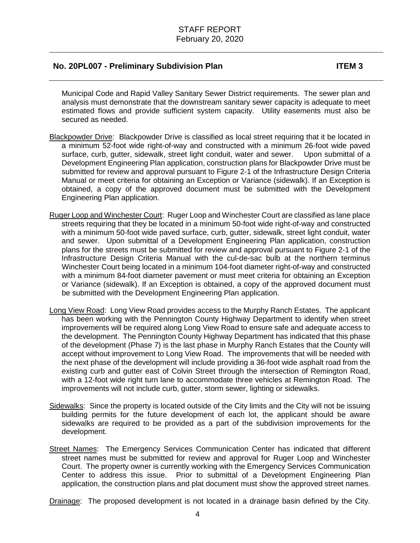Municipal Code and Rapid Valley Sanitary Sewer District requirements. The sewer plan and analysis must demonstrate that the downstream sanitary sewer capacity is adequate to meet estimated flows and provide sufficient system capacity. Utility easements must also be secured as needed.

- Blackpowder Drive: Blackpowder Drive is classified as local street requiring that it be located in a minimum 52-foot wide right-of-way and constructed with a minimum 26-foot wide paved surface, curb, gutter, sidewalk, street light conduit, water and sewer. Upon submittal of a Development Engineering Plan application, construction plans for Blackpowder Drive must be submitted for review and approval pursuant to Figure 2-1 of the Infrastructure Design Criteria Manual or meet criteria for obtaining an Exception or Variance (sidewalk). If an Exception is obtained, a copy of the approved document must be submitted with the Development Engineering Plan application.
- Ruger Loop and Winchester Court: Ruger Loop and Winchester Court are classified as lane place streets requiring that they be located in a minimum 50-foot wide right-of-way and constructed with a minimum 50-foot wide paved surface, curb, gutter, sidewalk, street light conduit, water and sewer. Upon submittal of a Development Engineering Plan application, construction plans for the streets must be submitted for review and approval pursuant to Figure 2-1 of the Infrastructure Design Criteria Manual with the cul-de-sac bulb at the northern terminus Winchester Court being located in a minimum 104-foot diameter right-of-way and constructed with a minimum 84-foot diameter pavement or must meet criteria for obtaining an Exception or Variance (sidewalk). If an Exception is obtained, a copy of the approved document must be submitted with the Development Engineering Plan application.
- Long View Road: Long View Road provides access to the Murphy Ranch Estates. The applicant has been working with the Pennington County Highway Department to identify when street improvements will be required along Long View Road to ensure safe and adequate access to the development. The Pennington County Highway Department has indicated that this phase of the development (Phase 7) is the last phase in Murphy Ranch Estates that the County will accept without improvement to Long View Road. The improvements that will be needed with the next phase of the development will include providing a 36-foot wide asphalt road from the existing curb and gutter east of Colvin Street through the intersection of Remington Road, with a 12-foot wide right turn lane to accommodate three vehicles at Remington Road. The improvements will not include curb, gutter, storm sewer, lighting or sidewalks.
- Sidewalks: Since the property is located outside of the City limits and the City will not be issuing building permits for the future development of each lot, the applicant should be aware sidewalks are required to be provided as a part of the subdivision improvements for the development.
- Street Names: The Emergency Services Communication Center has indicated that different street names must be submitted for review and approval for Ruger Loop and Winchester Court. The property owner is currently working with the Emergency Services Communication Center to address this issue. Prior to submittal of a Development Engineering Plan application, the construction plans and plat document must show the approved street names.

Drainage: The proposed development is not located in a drainage basin defined by the City.